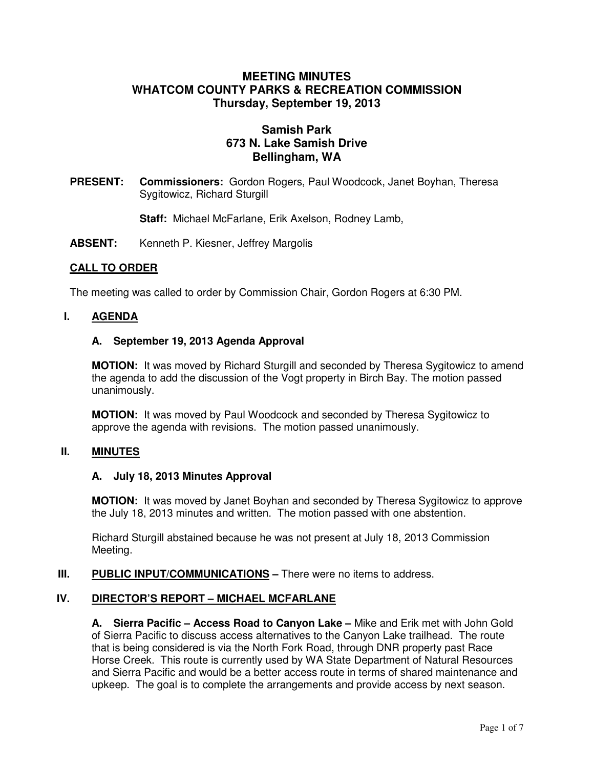# **MEETING MINUTES WHATCOM COUNTY PARKS & RECREATION COMMISSION Thursday, September 19, 2013**

# **Samish Park 673 N. Lake Samish Drive Bellingham, WA**

**PRESENT: Commissioners:** Gordon Rogers, Paul Woodcock, Janet Boyhan, Theresa Sygitowicz, Richard Sturgill

**Staff:** Michael McFarlane, Erik Axelson, Rodney Lamb,

**ABSENT:** Kenneth P. Kiesner, Jeffrey Margolis

### **CALL TO ORDER**

The meeting was called to order by Commission Chair, Gordon Rogers at 6:30 PM.

### **I. AGENDA**

### **A. September 19, 2013 Agenda Approval**

**MOTION:** It was moved by Richard Sturgill and seconded by Theresa Sygitowicz to amend the agenda to add the discussion of the Vogt property in Birch Bay. The motion passed unanimously.

**MOTION:** It was moved by Paul Woodcock and seconded by Theresa Sygitowicz to approve the agenda with revisions. The motion passed unanimously.

### **II. MINUTES**

#### **A. July 18, 2013 Minutes Approval**

**MOTION:** It was moved by Janet Boyhan and seconded by Theresa Sygitowicz to approve the July 18, 2013 minutes and written. The motion passed with one abstention.

Richard Sturgill abstained because he was not present at July 18, 2013 Commission Meeting.

### **III. PUBLIC INPUT/COMMUNICATIONS** – There were no items to address.

### **IV. DIRECTOR'S REPORT – MICHAEL MCFARLANE**

**A. Sierra Pacific – Access Road to Canyon Lake –** Mike and Erik met with John Gold of Sierra Pacific to discuss access alternatives to the Canyon Lake trailhead. The route that is being considered is via the North Fork Road, through DNR property past Race Horse Creek. This route is currently used by WA State Department of Natural Resources and Sierra Pacific and would be a better access route in terms of shared maintenance and upkeep. The goal is to complete the arrangements and provide access by next season.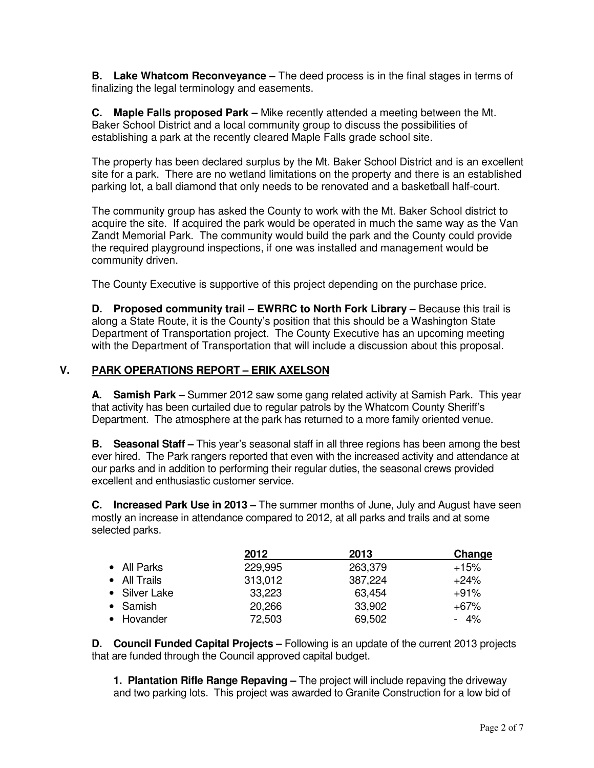**B. Lake Whatcom Reconveyance –** The deed process is in the final stages in terms of finalizing the legal terminology and easements.

**C. Maple Falls proposed Park –** Mike recently attended a meeting between the Mt. Baker School District and a local community group to discuss the possibilities of establishing a park at the recently cleared Maple Falls grade school site.

The property has been declared surplus by the Mt. Baker School District and is an excellent site for a park. There are no wetland limitations on the property and there is an established parking lot, a ball diamond that only needs to be renovated and a basketball half-court.

The community group has asked the County to work with the Mt. Baker School district to acquire the site. If acquired the park would be operated in much the same way as the Van Zandt Memorial Park. The community would build the park and the County could provide the required playground inspections, if one was installed and management would be community driven.

The County Executive is supportive of this project depending on the purchase price.

**D.** Proposed community trail – EWRRC to North Fork Library – Because this trail is along a State Route, it is the County's position that this should be a Washington State Department of Transportation project. The County Executive has an upcoming meeting with the Department of Transportation that will include a discussion about this proposal.

# **V. PARK OPERATIONS REPORT – ERIK AXELSON**

**A. Samish Park –** Summer 2012 saw some gang related activity at Samish Park. This year that activity has been curtailed due to regular patrols by the Whatcom County Sheriff's Department. The atmosphere at the park has returned to a more family oriented venue.

**B. Seasonal Staff –** This year's seasonal staff in all three regions has been among the best ever hired. The Park rangers reported that even with the increased activity and attendance at our parks and in addition to performing their regular duties, the seasonal crews provided excellent and enthusiastic customer service.

**C. Increased Park Use in 2013 –** The summer months of June, July and August have seen mostly an increase in attendance compared to 2012, at all parks and trails and at some selected parks.

|                  | 2012    | 2013    | Change |
|------------------|---------|---------|--------|
| • All Parks      | 229,995 | 263,379 | $+15%$ |
| • All Trails     | 313,012 | 387,224 | $+24%$ |
| • Silver Lake    | 33,223  | 63,454  | $+91%$ |
| $\bullet$ Samish | 20,266  | 33,902  | $+67%$ |
| • Hovander       | 72,503  | 69,502  | $-4\%$ |

**D. Council Funded Capital Projects –** Following is an update of the current 2013 projects that are funded through the Council approved capital budget.

**1. Plantation Rifle Range Repaving –** The project will include repaving the driveway and two parking lots. This project was awarded to Granite Construction for a low bid of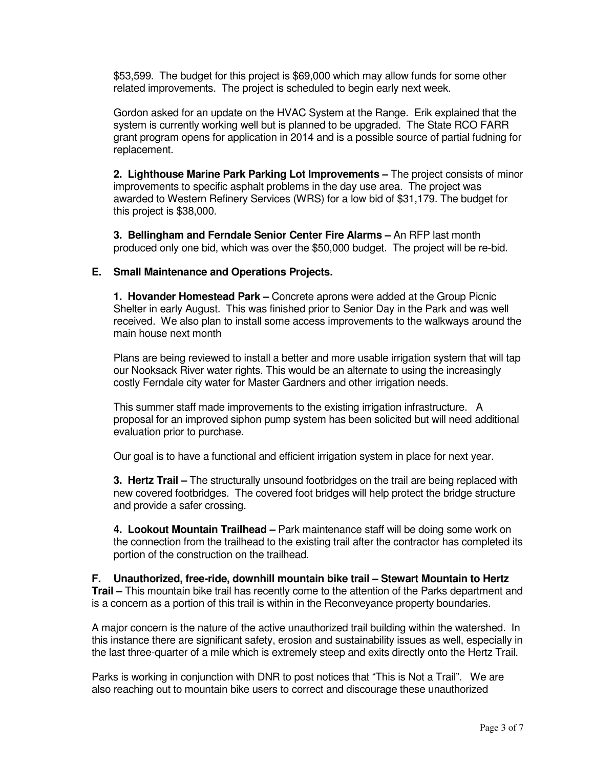\$53,599. The budget for this project is \$69,000 which may allow funds for some other related improvements. The project is scheduled to begin early next week.

Gordon asked for an update on the HVAC System at the Range. Erik explained that the system is currently working well but is planned to be upgraded. The State RCO FARR grant program opens for application in 2014 and is a possible source of partial fudning for replacement.

**2. Lighthouse Marine Park Parking Lot Improvements –** The project consists of minor improvements to specific asphalt problems in the day use area. The project was awarded to Western Refinery Services (WRS) for a low bid of \$31,179. The budget for this project is \$38,000.

**3. Bellingham and Ferndale Senior Center Fire Alarms –** An RFP last month produced only one bid, which was over the \$50,000 budget. The project will be re-bid.

### **E. Small Maintenance and Operations Projects.**

**1. Hovander Homestead Park –** Concrete aprons were added at the Group Picnic Shelter in early August. This was finished prior to Senior Day in the Park and was well received. We also plan to install some access improvements to the walkways around the main house next month

Plans are being reviewed to install a better and more usable irrigation system that will tap our Nooksack River water rights. This would be an alternate to using the increasingly costly Ferndale city water for Master Gardners and other irrigation needs.

This summer staff made improvements to the existing irrigation infrastructure. A proposal for an improved siphon pump system has been solicited but will need additional evaluation prior to purchase.

Our goal is to have a functional and efficient irrigation system in place for next year.

**3. Hertz Trail –** The structurally unsound footbridges on the trail are being replaced with new covered footbridges. The covered foot bridges will help protect the bridge structure and provide a safer crossing.

**4. Lookout Mountain Trailhead –** Park maintenance staff will be doing some work on the connection from the trailhead to the existing trail after the contractor has completed its portion of the construction on the trailhead.

**F. Unauthorized, free-ride, downhill mountain bike trail – Stewart Mountain to Hertz Trail –** This mountain bike trail has recently come to the attention of the Parks department and is a concern as a portion of this trail is within in the Reconveyance property boundaries.

A major concern is the nature of the active unauthorized trail building within the watershed. In this instance there are significant safety, erosion and sustainability issues as well, especially in the last three-quarter of a mile which is extremely steep and exits directly onto the Hertz Trail.

Parks is working in conjunction with DNR to post notices that "This is Not a Trail". We are also reaching out to mountain bike users to correct and discourage these unauthorized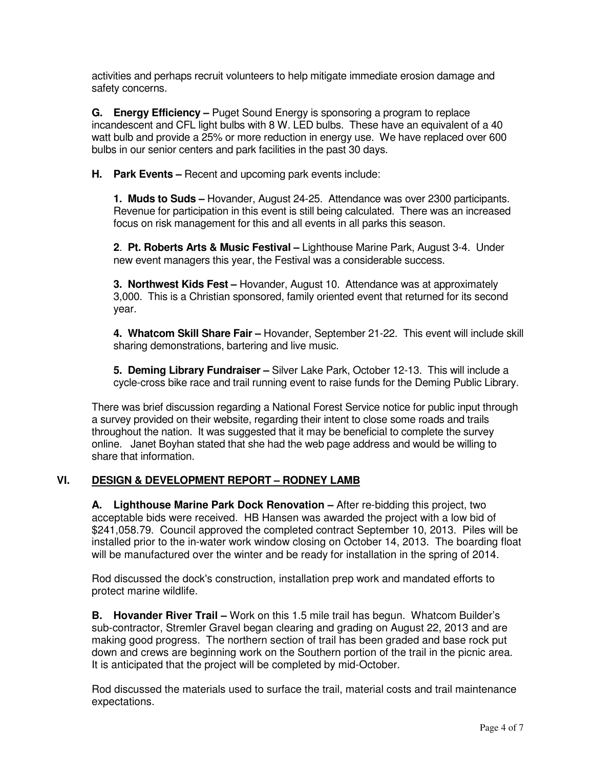activities and perhaps recruit volunteers to help mitigate immediate erosion damage and safety concerns.

**G. Energy Efficiency –** Puget Sound Energy is sponsoring a program to replace incandescent and CFL light bulbs with 8 W. LED bulbs. These have an equivalent of a 40 watt bulb and provide a 25% or more reduction in energy use. We have replaced over 600 bulbs in our senior centers and park facilities in the past 30 days.

**H. Park Events –** Recent and upcoming park events include:

**1. Muds to Suds –** Hovander, August 24-25. Attendance was over 2300 participants. Revenue for participation in this event is still being calculated. There was an increased focus on risk management for this and all events in all parks this season.

**2**. **Pt. Roberts Arts & Music Festival –** Lighthouse Marine Park, August 3-4. Under new event managers this year, the Festival was a considerable success.

**3. Northwest Kids Fest –** Hovander, August 10. Attendance was at approximately 3,000. This is a Christian sponsored, family oriented event that returned for its second year.

**4. Whatcom Skill Share Fair –** Hovander, September 21-22. This event will include skill sharing demonstrations, bartering and live music.

**5. Deming Library Fundraiser –** Silver Lake Park, October 12-13. This will include a cycle-cross bike race and trail running event to raise funds for the Deming Public Library.

There was brief discussion regarding a National Forest Service notice for public input through a survey provided on their website, regarding their intent to close some roads and trails throughout the nation. It was suggested that it may be beneficial to complete the survey online. Janet Boyhan stated that she had the web page address and would be willing to share that information.

# **VI. DESIGN & DEVELOPMENT REPORT – RODNEY LAMB**

**A. Lighthouse Marine Park Dock Renovation –** After re-bidding this project, two acceptable bids were received. HB Hansen was awarded the project with a low bid of \$241,058.79. Council approved the completed contract September 10, 2013. Piles will be installed prior to the in-water work window closing on October 14, 2013. The boarding float will be manufactured over the winter and be ready for installation in the spring of 2014.

Rod discussed the dock's construction, installation prep work and mandated efforts to protect marine wildlife.

**B. Hovander River Trail –** Work on this 1.5 mile trail has begun. Whatcom Builder's sub-contractor, Stremler Gravel began clearing and grading on August 22, 2013 and are making good progress. The northern section of trail has been graded and base rock put down and crews are beginning work on the Southern portion of the trail in the picnic area. It is anticipated that the project will be completed by mid-October.

Rod discussed the materials used to surface the trail, material costs and trail maintenance expectations.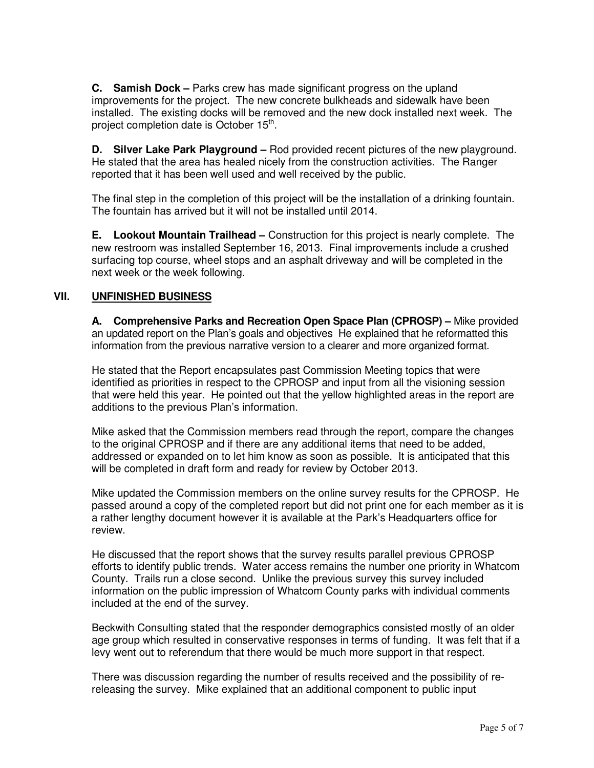**C. Samish Dock –** Parks crew has made significant progress on the upland improvements for the project. The new concrete bulkheads and sidewalk have been installed. The existing docks will be removed and the new dock installed next week. The project completion date is October 15<sup>th</sup>.

**D. Silver Lake Park Playground –** Rod provided recent pictures of the new playground. He stated that the area has healed nicely from the construction activities. The Ranger reported that it has been well used and well received by the public.

The final step in the completion of this project will be the installation of a drinking fountain. The fountain has arrived but it will not be installed until 2014.

**E. Lookout Mountain Trailhead –** Construction for this project is nearly complete. The new restroom was installed September 16, 2013. Final improvements include a crushed surfacing top course, wheel stops and an asphalt driveway and will be completed in the next week or the week following.

# **VII. UNFINISHED BUSINESS**

**A. Comprehensive Parks and Recreation Open Space Plan (CPROSP) –** Mike provided an updated report on the Plan's goals and objectives He explained that he reformatted this information from the previous narrative version to a clearer and more organized format.

He stated that the Report encapsulates past Commission Meeting topics that were identified as priorities in respect to the CPROSP and input from all the visioning session that were held this year. He pointed out that the yellow highlighted areas in the report are additions to the previous Plan's information.

Mike asked that the Commission members read through the report, compare the changes to the original CPROSP and if there are any additional items that need to be added, addressed or expanded on to let him know as soon as possible. It is anticipated that this will be completed in draft form and ready for review by October 2013.

Mike updated the Commission members on the online survey results for the CPROSP. He passed around a copy of the completed report but did not print one for each member as it is a rather lengthy document however it is available at the Park's Headquarters office for review.

He discussed that the report shows that the survey results parallel previous CPROSP efforts to identify public trends. Water access remains the number one priority in Whatcom County. Trails run a close second. Unlike the previous survey this survey included information on the public impression of Whatcom County parks with individual comments included at the end of the survey.

Beckwith Consulting stated that the responder demographics consisted mostly of an older age group which resulted in conservative responses in terms of funding. It was felt that if a levy went out to referendum that there would be much more support in that respect.

There was discussion regarding the number of results received and the possibility of rereleasing the survey. Mike explained that an additional component to public input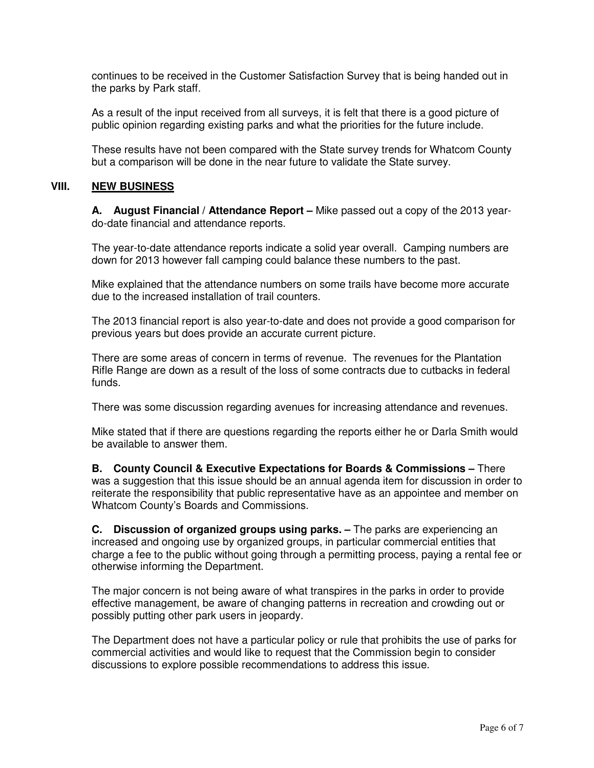continues to be received in the Customer Satisfaction Survey that is being handed out in the parks by Park staff.

As a result of the input received from all surveys, it is felt that there is a good picture of public opinion regarding existing parks and what the priorities for the future include.

These results have not been compared with the State survey trends for Whatcom County but a comparison will be done in the near future to validate the State survey.

### **VIII. NEW BUSINESS**

 **A. August Financial / Attendance Report –** Mike passed out a copy of the 2013 yeardo-date financial and attendance reports.

The year-to-date attendance reports indicate a solid year overall. Camping numbers are down for 2013 however fall camping could balance these numbers to the past.

Mike explained that the attendance numbers on some trails have become more accurate due to the increased installation of trail counters.

The 2013 financial report is also year-to-date and does not provide a good comparison for previous years but does provide an accurate current picture.

There are some areas of concern in terms of revenue. The revenues for the Plantation Rifle Range are down as a result of the loss of some contracts due to cutbacks in federal funds.

There was some discussion regarding avenues for increasing attendance and revenues.

Mike stated that if there are questions regarding the reports either he or Darla Smith would be available to answer them.

**B. County Council & Executive Expectations for Boards & Commissions –** There was a suggestion that this issue should be an annual agenda item for discussion in order to reiterate the responsibility that public representative have as an appointee and member on Whatcom County's Boards and Commissions.

**C. Discussion of organized groups using parks. –** The parks are experiencing an increased and ongoing use by organized groups, in particular commercial entities that charge a fee to the public without going through a permitting process, paying a rental fee or otherwise informing the Department.

The major concern is not being aware of what transpires in the parks in order to provide effective management, be aware of changing patterns in recreation and crowding out or possibly putting other park users in jeopardy.

The Department does not have a particular policy or rule that prohibits the use of parks for commercial activities and would like to request that the Commission begin to consider discussions to explore possible recommendations to address this issue.